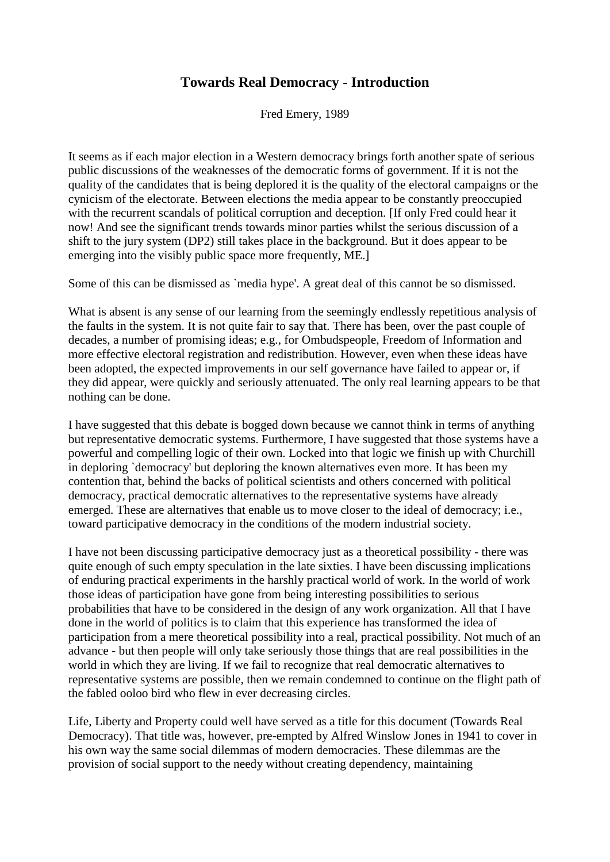## **Towards Real Democracy - Introduction**

Fred Emery, 1989

It seems as if each major election in a Western democracy brings forth another spate of serious public discussions of the weaknesses of the democratic forms of government. If it is not the quality of the candidates that is being deplored it is the quality of the electoral campaigns or the cynicism of the electorate. Between elections the media appear to be constantly preoccupied with the recurrent scandals of political corruption and deception. [If only Fred could hear it now! And see the significant trends towards minor parties whilst the serious discussion of a shift to the jury system (DP2) still takes place in the background. But it does appear to be emerging into the visibly public space more frequently, ME.]

Some of this can be dismissed as `media hype'. A great deal of this cannot be so dismissed.

What is absent is any sense of our learning from the seemingly endlessly repetitious analysis of the faults in the system. It is not quite fair to say that. There has been, over the past couple of decades, a number of promising ideas; e.g., for Ombudspeople, Freedom of Information and more effective electoral registration and redistribution. However, even when these ideas have been adopted, the expected improvements in our self governance have failed to appear or, if they did appear, were quickly and seriously attenuated. The only real learning appears to be that nothing can be done.

I have suggested that this debate is bogged down because we cannot think in terms of anything but representative democratic systems. Furthermore, I have suggested that those systems have a powerful and compelling logic of their own. Locked into that logic we finish up with Churchill in deploring `democracy' but deploring the known alternatives even more. It has been my contention that, behind the backs of political scientists and others concerned with political democracy, practical democratic alternatives to the representative systems have already emerged. These are alternatives that enable us to move closer to the ideal of democracy; i.e., toward participative democracy in the conditions of the modern industrial society.

I have not been discussing participative democracy just as a theoretical possibility - there was quite enough of such empty speculation in the late sixties. I have been discussing implications of enduring practical experiments in the harshly practical world of work. In the world of work those ideas of participation have gone from being interesting possibilities to serious probabilities that have to be considered in the design of any work organization. All that I have done in the world of politics is to claim that this experience has transformed the idea of participation from a mere theoretical possibility into a real, practical possibility. Not much of an advance - but then people will only take seriously those things that are real possibilities in the world in which they are living. If we fail to recognize that real democratic alternatives to representative systems are possible, then we remain condemned to continue on the flight path of the fabled ooloo bird who flew in ever decreasing circles.

Life, Liberty and Property could well have served as a title for this document (Towards Real Democracy). That title was, however, pre-empted by Alfred Winslow Jones in 1941 to cover in his own way the same social dilemmas of modern democracies. These dilemmas are the provision of social support to the needy without creating dependency, maintaining